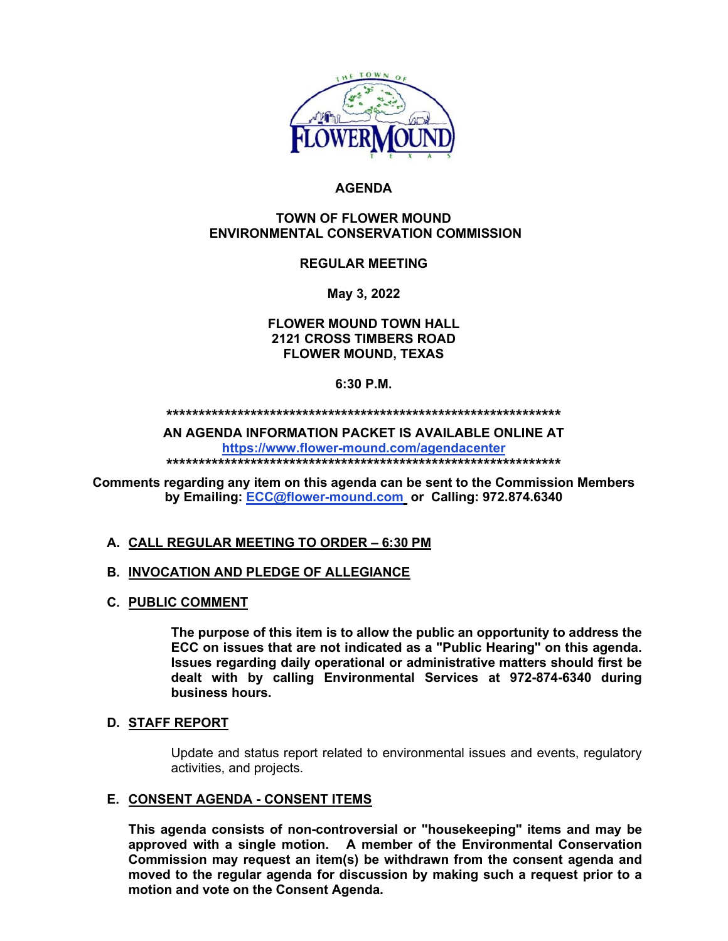

## **AGENDA**

#### **TOWN OF FLOWER MOUND ENVIRONMENTAL CONSERVATION COMMISSION**

# **REGULAR MEETING**

**May 3, 2022**

**FLOWER MOUND TOWN HALL 2121 CROSS TIMBERS ROAD FLOWER MOUND, TEXAS**

### **6:30 P.M.**

**\*\*\*\*\*\*\*\*\*\*\*\*\*\*\*\*\*\*\*\*\*\*\*\*\*\*\*\*\*\*\*\*\*\*\*\*\*\*\*\*\*\*\*\*\*\*\*\*\*\*\*\*\*\*\*\*\*\*\*\*\***

**AN AGENDA INFORMATION PACKET IS AVAILABLE ONLINE AT <https://www.flower-mound.com/agendacenter>**

**\*\*\*\*\*\*\*\*\*\*\*\*\*\*\*\*\*\*\*\*\*\*\*\*\*\*\*\*\*\*\*\*\*\*\*\*\*\*\*\*\*\*\*\*\*\*\*\*\*\*\*\*\*\*\*\*\*\*\*\*\***

**Comments regarding any item on this agenda can be sent to the Commission Members by Emailing: [ECC@flower-mound.com](mailto:ECC@flower-mound.com) or Calling: 972.874.6340** 

## **A. CALL REGULAR MEETING TO ORDER – 6:30 PM**

## **B. INVOCATION AND PLEDGE OF ALLEGIANCE**

**C. PUBLIC COMMENT**

**The purpose of this item is to allow the public an opportunity to address the ECC on issues that are not indicated as a "Public Hearing" on this agenda. Issues regarding daily operational or administrative matters should first be dealt with by calling Environmental Services at 972-874-6340 during business hours.**

#### **D. STAFF REPORT**

Update and status report related to environmental issues and events, regulatory activities, and projects.

## **E. CONSENT AGENDA - CONSENT ITEMS**

**This agenda consists of non-controversial or "housekeeping" items and may be approved with a single motion. A member of the Environmental Conservation Commission may request an item(s) be withdrawn from the consent agenda and moved to the regular agenda for discussion by making such a request prior to a motion and vote on the Consent Agenda.**